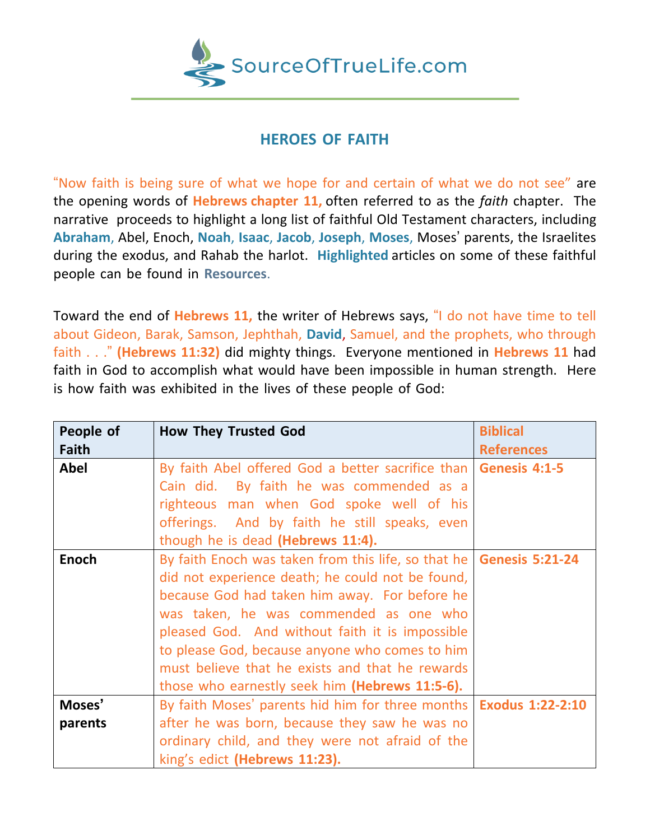

## **HEROES OF FAITH**

"Now faith is being sure of what we hope for and certain of what we do not see" are the opening words of **Hebrews chapter 11,** often referred to as the *faith* chapter. The narrative proceeds to highlight a long list of faithful Old Testament characters, including **Abraham**, Abel, Enoch, **Noah**, **Isaac**, **Jacob**, **Joseph**, **Moses**, Moses' parents, the Israelites during the exodus, and Rahab the harlot. **Highlighted** articles on some of these faithful people can be found in **Resources**.

Toward the end of **Hebrews 11,** the writer of Hebrews says, "I do not have time to tell about Gideon, Barak, Samson, Jephthah, **David**, Samuel, and the prophets, who through faith . . ." **(Hebrews 11:32)** did mighty things. Everyone mentioned in **Hebrews 11** had faith in God to accomplish what would have been impossible in human strength. Here is how faith was exhibited in the lives of these people of God:

| People of    | <b>How They Trusted God</b>                                           | <b>Biblical</b>         |
|--------------|-----------------------------------------------------------------------|-------------------------|
| Faith        |                                                                       | <b>References</b>       |
| <b>Abel</b>  | By faith Abel offered God a better sacrifice than                     | Genesis 4:1-5           |
|              | Cain did. By faith he was commended as a                              |                         |
|              | righteous man when God spoke well of his                              |                         |
|              | offerings. And by faith he still speaks, even                         |                         |
|              | though he is dead (Hebrews 11:4).                                     |                         |
| <b>Enoch</b> | By faith Enoch was taken from this life, so that he   Genesis 5:21-24 |                         |
|              | did not experience death; he could not be found,                      |                         |
|              | because God had taken him away. For before he                         |                         |
|              | was taken, he was commended as one who                                |                         |
|              | pleased God. And without faith it is impossible                       |                         |
|              | to please God, because anyone who comes to him                        |                         |
|              | must believe that he exists and that he rewards                       |                         |
|              | those who earnestly seek him (Hebrews 11:5-6).                        |                         |
| Moses'       | By faith Moses' parents hid him for three months                      | <b>Exodus 1:22-2:10</b> |
| parents      | after he was born, because they saw he was no                         |                         |
|              | ordinary child, and they were not afraid of the                       |                         |
|              | king's edict (Hebrews 11:23).                                         |                         |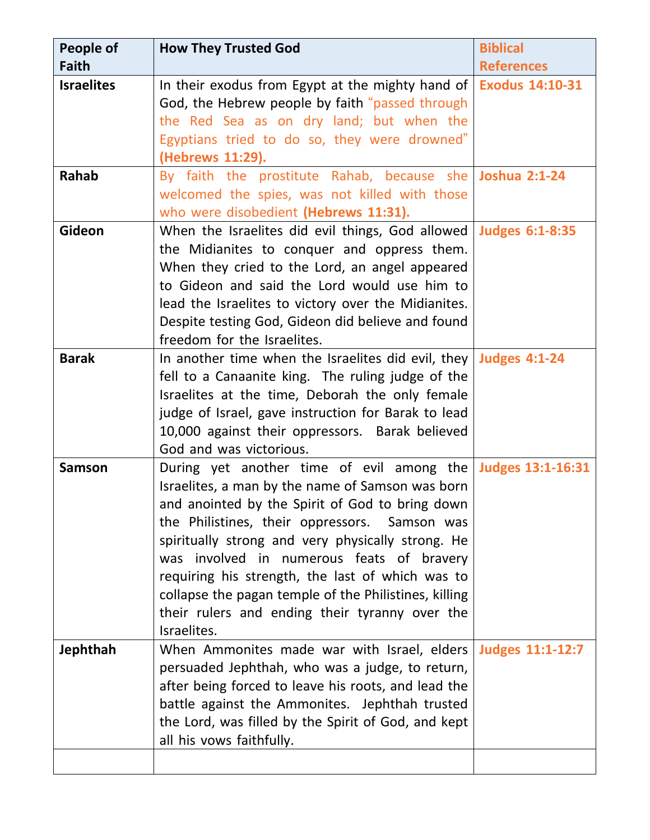| People of         | <b>How They Trusted God</b>                                                     | <b>Biblical</b>        |
|-------------------|---------------------------------------------------------------------------------|------------------------|
| <b>Faith</b>      |                                                                                 | <b>References</b>      |
| <b>Israelites</b> | In their exodus from Egypt at the mighty hand of                                | <b>Exodus 14:10-31</b> |
|                   | God, the Hebrew people by faith "passed through                                 |                        |
|                   | the Red Sea as on dry land; but when the                                        |                        |
|                   | Egyptians tried to do so, they were drowned"                                    |                        |
|                   | (Hebrews 11:29).                                                                |                        |
| <b>Rahab</b>      | By faith the prostitute Rahab, because she                                      | <b>Joshua 2:1-24</b>   |
|                   | welcomed the spies, was not killed with those                                   |                        |
|                   | who were disobedient (Hebrews 11:31).                                           |                        |
| <b>Gideon</b>     | When the Israelites did evil things, God allowed   Judges 6:1-8:35              |                        |
|                   | the Midianites to conquer and oppress them.                                     |                        |
|                   | When they cried to the Lord, an angel appeared                                  |                        |
|                   | to Gideon and said the Lord would use him to                                    |                        |
|                   | lead the Israelites to victory over the Midianites.                             |                        |
|                   | Despite testing God, Gideon did believe and found                               |                        |
|                   | freedom for the Israelites.                                                     |                        |
| <b>Barak</b>      | In another time when the Israelites did evil, they   Judges $4:1-24$            |                        |
|                   | fell to a Canaanite king. The ruling judge of the                               |                        |
|                   | Israelites at the time, Deborah the only female                                 |                        |
|                   | judge of Israel, gave instruction for Barak to lead                             |                        |
|                   | 10,000 against their oppressors. Barak believed                                 |                        |
|                   | God and was victorious.                                                         |                        |
| <b>Samson</b>     | During yet another time of evil among the Judges 13:1-16:31                     |                        |
|                   | Israelites, a man by the name of Samson was born                                |                        |
|                   | and anointed by the Spirit of God to bring down                                 |                        |
|                   | the Philistines, their oppressors. Samson was                                   |                        |
|                   | spiritually strong and very physically strong. He                               |                        |
|                   | was involved in numerous feats of bravery                                       |                        |
|                   | requiring his strength, the last of which was to                                |                        |
|                   | collapse the pagan temple of the Philistines, killing                           |                        |
|                   | their rulers and ending their tyranny over the                                  |                        |
|                   | Israelites.                                                                     |                        |
| <b>Jephthah</b>   | When Ammonites made war with Israel, elders Judges 11:1-12:7                    |                        |
|                   | persuaded Jephthah, who was a judge, to return,                                 |                        |
|                   | after being forced to leave his roots, and lead the                             |                        |
|                   | battle against the Ammonites. Jephthah trusted                                  |                        |
|                   | the Lord, was filled by the Spirit of God, and kept<br>all his vows faithfully. |                        |
|                   |                                                                                 |                        |
|                   |                                                                                 |                        |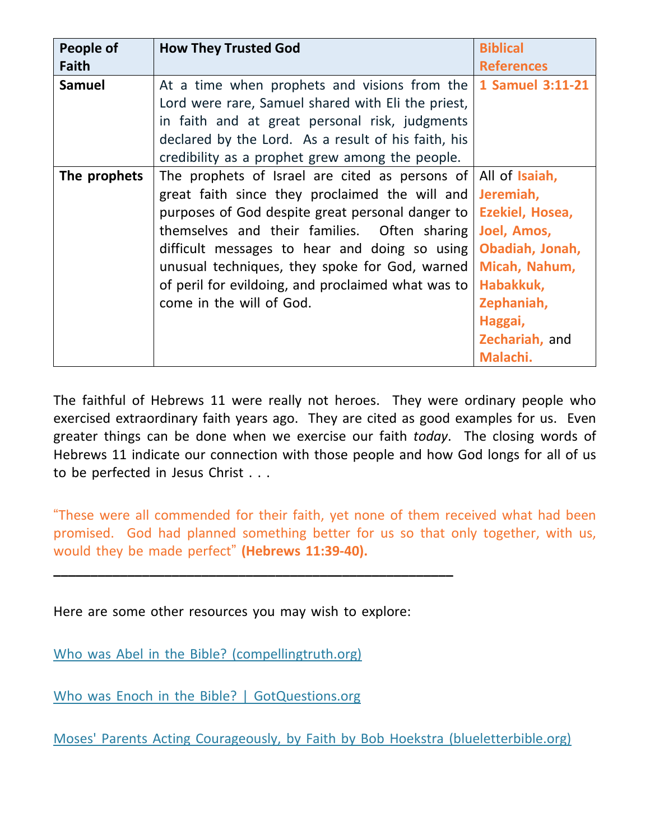| People of     | <b>How They Trusted God</b>                                     | <b>Biblical</b>   |
|---------------|-----------------------------------------------------------------|-------------------|
| <b>Faith</b>  |                                                                 | <b>References</b> |
| <b>Samuel</b> | At a time when prophets and visions from the   1 Samuel 3:11-21 |                   |
|               | Lord were rare, Samuel shared with Eli the priest,              |                   |
|               | in faith and at great personal risk, judgments                  |                   |
|               | declared by the Lord. As a result of his faith, his             |                   |
|               | credibility as a prophet grew among the people.                 |                   |
| The prophets  | The prophets of Israel are cited as persons of All of Isaiah,   |                   |
|               | great faith since they proclaimed the will and                  | Jeremiah,         |
|               | purposes of God despite great personal danger to                | Ezekiel, Hosea,   |
|               | themselves and their families. Often sharing                    | Joel, Amos,       |
|               | difficult messages to hear and doing so using                   | Obadiah, Jonah,   |
|               | unusual techniques, they spoke for God, warned                  | Micah, Nahum,     |
|               | of peril for evildoing, and proclaimed what was to              | Habakkuk,         |
|               | come in the will of God.                                        | Zephaniah,        |
|               |                                                                 | Haggai,           |
|               |                                                                 | Zechariah, and    |
|               |                                                                 | Malachi.          |

The faithful of Hebrews 11 were really not heroes. They were ordinary people who exercised extraordinary faith years ago. They are cited as good examples for us. Even greater things can be done when we exercise our faith *today*. The closing words of Hebrews 11 indicate our connection with those people and how God longs for all of us to be perfected in Jesus Christ . . .

"These were all commended for their faith, yet none of them received what had been promised. God had planned something better for us so that only together, with us, would they be made perfect" **(Hebrews 11:39-40).**

Here are some other resources you may wish to explore:

**\_\_\_\_\_\_\_\_\_\_\_\_\_\_\_\_\_\_\_\_\_\_\_\_\_\_\_\_\_\_\_\_\_\_\_\_\_\_\_\_\_\_\_\_\_\_\_\_\_\_\_\_\_\_**

Who was Abel in the Bible? [\(compellingtruth.org\)](https://www.compellingtruth.org/Abel-in-the-Bible.html)

Who was Enoch in the Bible? | [GotQuestions.org](https://www.gotquestions.org/Enoch-in-the-Bible.html)

Moses' Parents Acting Courageously, by Faith by Bob Hoekstra [\(blueletterbible.org\)](https://www.blueletterbible.org/devotionals/dbdbg/view.cfm?Date=1031)